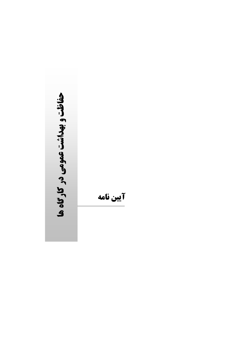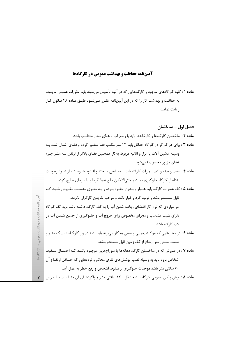## آیینفامه حفاظت و بهداشت عمومی در کارگاهها

**ماده ۱ :** کلیه کارگامهای موجود و کارگامهایی که در آتیه تأسیس میشوند باید مقررات عمومی مربـوط به حفاظت و بهداشت کار را که در این آییننامه مقـرر مـیشـود طبـق مـاده ۴۸ قـانون کـار , عايت نمايند.

فصل اول – ساختمان

**ماده ۲ :** ساختمان کا<sub>ر</sub>گامها و کارخانهها باید با وضع آب و هوای محل متناسب باشد. ماده ۰۳ برای هر کارگر در کارگاه حداقل باید ۱۲ متر مکعب فضا منظور گردد و فضای اشغال شده بـه وسيله ماشين آلات يا ابزار و اثاثيه مربوط بهكار همچنين فضاي بالاتر از ارتفاع سه متـر جـزء فضای مزبور محسوب نمیشود. ماده ۴: سقف و بدنه و كف عمارات كارگاه بايد با مصالحي ساخته و انـدود شـود كـه از نفـوذ رطوبـت بهداخل کارگاه جلوگیری نماید و حتی|لامکان مانع نفوذ گرما و یا سرمای خارج گردد. ماده ۵ : کف عمارات کارگاه باید هموار و بـدون حفـره بـوده و بـه نحـوی مناسـب مفـروش شـود کـه قابل شستشو باشد و تولید گرد و غبار نکند و موجب لغزیدن کارگران نگردد. در مواردی که نوع کار اقتضای ریخته شدن آب ,ا به کف کارگاه داشته باشد باید کف کا,گاه دارای شیب متناسب و مجرای مخصوص برای خروج آب و جلـوگیری از جمـع شـدن آب در كف كا, گاه باشد. ماده ۶: در محلهایی که مواد شیمیایی و سمی به کار می برند باید بدنه دیوار کارگـاه تـا یـک متـر و شصت سانتی متر ارتفاع از کف زمین قابل شستشو باشد. ماده ۷ : در صورتی که در ساختمان کارگاه دهانهها یا سوراخهایی موجـود باشـد کـه احتمـال سـقوط اشخاص برود باید به وسیله نصب پوششهای فلزی محکم و نردههایی که حـداقل ارتفــاع آن ۶۰ سانتی متر باشد موجبات جلوگیری از سقوط اشخاص و رفع خطر به عمل آید. ماده ۸ : عرض پلکان عمومی کارگاه باید حداقل ۱۲۰ سانتی متـر و پاگردهـای آن متناسـب بـا عـرض

آيين نامه حفاظت و پهداشت عمومي در کار گاه ه

 $\mathbf r$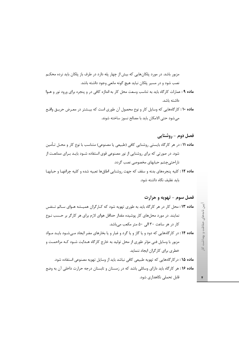مزبور باشد. در مورد پلکانهایی که بیش از چهار پله دارد در طرف باز پلکان باید نرده محکـم نصب شود و در مسیر پلکان نباید هیچ گونه مانعی وجود داشته باشد.

ماده ۹: عمارات كاركاه بايد به تناسب وسعت محل كار به اندازه كافي در و پنجره براي ورود نور و هـوا داشته باشد.

ماده ۱۰: کارگاههایی که وسایل کار و نوع محصول آن طوری است که بیـشتر در معـرض حریـق واقـع می شود حتی الامکان باید با مصالح نسوز ساخته شوند.

فصل دوم - روشنایی م**اده ۱۱** : در هر کارگاه بایستی روشنایی کافی (طبیعی یا مصنوعی) متناسب با نوع کار و محـل تـأمین شود. در صورتی که برای روشنایی از نور مصنوعی قوی استفاده شــود بایــد بــرای ممانعــت از ناراحتی چشم حبابهای مخصوصی نصب گردد.

ماده ١٢: كليه پنجرههاى بدنه و سقف كه جهت روشنايي اطاقها تعبيه شده و كليه چراغها و حبابها باید نظیف نگاه داشته شود.

فصل سوم - تهويه و حرارت ماده ۱۳: محل کار در هر کارگاه باید به طوری تهویه شود که کـارگران همیـشه هـوای سـالم تـنفس نمایند. در مورد محلهای کار پوشیده مقدار حداقل هوای لازم برای هر کارگر بر حسب نـوع کار در هر ساعت ۳۰ الی ۵۰ متر مکعب می باشد. ماده ۱۴: در کارگاههایی که دود و یا گاز و یا گرد و غبار و یا بخارهای مضر ایجاد مے شـود بایـد مـواد

مزبور با وسایل فنی مؤثر طوری از محل تولید به خارج کارگاه هـدایت شــود کــه مزاحمـت و خطری برای کارگران ایجاد ننماید.

ماده ۱۵ : در کار گامهایی که تهویه طبیعی کافی نباشد باید از وسایل تهویه مصنوعی استفاده شود. ماده ۱۶: هر کارگاه باید دارای وسائلی باشد که در زمستان و تابستان درجه حرارت داخلی آن به وضع قابل تحملی نگاهداری شود.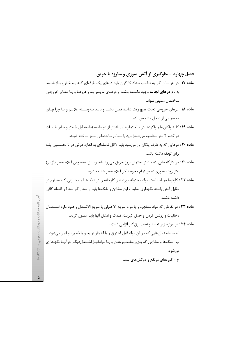فصل چهارم - جلوگیری از آتش سوزی و مبارزه با حریق ماده ۱۷: در هر سالن کار به تناسب تعداد کارگران باید درهای یک طرفهای کـه بـه خـارج بـاز شـوند به نام **درهای نجات** وجود داشـته باشـد و درهـای مزبـور بـه راهروهـا و یـا معـابر خروجـی ساختمان منتهى شوند. ماده ۱۸: درهای خروجی نجات هیچ وقت نبایـد قفـل باشـد و بایـد بـهوسـیله علایـم و یـا چراغهـای

مخصوصی از داخل مشخص باشد.

م**اده ۱۹** : کلیه پلکانها و پاگردها در ساختمانهای بلندتر از دو طبقه (طبقه اول ۵ متر و سایر طبقـات هر كدام ۴ متر محاسبه مى شود) بايد با مصالح ساختمانى نسوز ساخته شوند.

ماده ۲۰ : درهایی که به طرف پلکان باز میشود باید لااقل فاصلهای به اندازه عرض در تا نخـستین پلـه برای توقف داشته باشد.

ماده ۲۱ : در کارگاههایی که بیشتر احتمال بروز حریق می ود باید وسایل مخصوص اعلام خطر (آژیـر) بکار رود بهطوری که در تمام محوطه کار اعلام خطر شنیده شود.

م**اده ۲۲** : کارفرما موظف است مواد محترقه مورد نیاز کارخانه را در تانکهـا و مخـازنی کـه مقـاوم در مقابل آتش باشند نگهداری نماید و این مخازن و تانکها باید از محل کار مجزا و فاصله کافی داشته باشند.

ماده ٢٣: در نقاطي كه مواد منفجره و يا مواد سريع الاحتراق يا سريع الاشتعال وجـود دارد اسـتعمال دخانیات و روشن کردن و حمل کبریت، فندک و امثال آنها باید ممنوع گردد.

ماده ٢۴: در موارد زير تعبيه و نصب برق گير الزامي است : الف- ساختمانهايي كه در آن مواد قابل احتراق و يا انفجار توليد و يا ذخيره و انبار مي شود. ب- تانکها و مخازنی که بنزینونفتوروغن و یـا موادقابـل|شـتعال‹یگـر درآنهـا نگهـداری مىشود. ج – کوروهای مرتفع و دوکشهای بلند.

آيين نامه حفاظت و پهداشت عمومي در کار گاه ه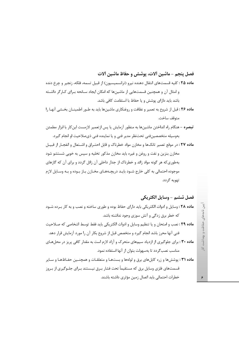## فصل ينجم – ماشين ألات، يوشش و حفاظ ماشين ألات

ماده ۲۵ : کلیه قسمتهای انتقال دهنده نیرو (ترانسمیسیون) از قبیل تسمه، فلکه، زنجیر و چرخ دنده و امثال آن و همچنین قسمتهایی از ماشینها که امکان ایجاد سـانحه بـرای کـارگر داشـته باشد باید دارای پوشش و یا حفاظ با استقامت کافی باشد.

- ماده ۲۶ : قبل از شروع به تعمير و نظافت و روغنكاري ماشينها بايد به طـور اطمينــان بخـشى آنهـا را متوقف ساخت.
- <mark>تبصره</mark> هنگام راه انداختن ماشینها به منظور آزمایش یا پس ازتعمیر لازمست این *ک*ار با ابزار مطمئن بەوسیلە متخصصینفنی تحتنظر مدیر فنی و یا نماینده فنی ذیصلاحیت او انجام گیرد.

ماده ۲۷ : در موقع تعمیر تانکها و مخازن مواد خطرناک و قابل احتـراق و اشـتعال و انفجـار از قبیـل مخازن بنزین و نفت و روغن و غیره باید مخازن مذکور تخلیه و سپس به خوبی شستشو شود بهطوری که هر گونه مواد زائد و خطرناک از جدار داخلی آن زائل گردد و برای آن که گازهای موجوده احتمالی به کلی خارج شـود بایـد دریچـههـای مخـازن بـاز بـوده و بـه وسـایل لازم تهويه گر دد.

فصل ششم - وسايل الكتريكي ماده ۲۸: وسایل و ادوات الکتریکی باید دارای حفاظ بوده و طوری ساخته و نصب و به کار برده شـود که خطر برق زدگی و آتش سوزی وجود نداشته باشد.

ماده ٢٩ : نصب و امتحان و يا تنظيم وسايل و ادوات الكتريكي بايد فقط توسط اشخاصي كه صـلاحيت فنی آنها محرز باشد انجام گیرد و متخصص قبل از شروع بکار آن را مورد آزمایش قرار دهد.

ماده ۳۰: برای جلوگیری از ازدیاد سیمهای متحرک و آزاد لازم است به مقدار کافی پریز در محلهای مناسب نصب گردد تا بهسهولت بتوان از آنها استفاده نمود.

ماده ۳۱ : پوشش ها و زره کابل های برق و لولهها و بست ها و متعلقـات و همچنـین حفـاظهـا و سـایر قسمتهای فلزی وسایل برق که مستقیماً تحت فشار بـرق نیـستند بـرای جلـوگیری از بـروز خطرات احتمالی باید اتصال زمین مؤثری داشته باشند.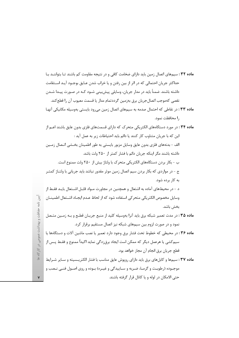ماده ٣٢: سیمهای اتصال زمین باید دارای ضخامت کافی و در نتیجه مقاومت کم باشند تـا بتواننــد بـا حداکثر جریان احتمالی که در اثر از بین رفتن و یا خراب شدن عـایق بوجـود آیـد اســتقامت داشته باشند. ضمناً باید در مدار جریان، وسایلی پیشبینی شـود کـه در صـورت پیـدا شـدن نقصی کهموجب اتصال جریان برق بهزمین گرددتمام مدار یا قسمت معیوب آن را قطع کند.

- ماده ٣٣: در نقاطي كه احتمال صدمه به سيمهاى اتصال زمين مي رود بايستي بهوسيله مكانيكي آنها , ا محافظت نمود.
- **ماده ۳۴**: در مورد دستگاههای الکتریکی متحرک که دارای قسمتهای فلزی بدون عایق باشند اعــم از این که با جریان متناوب کار کنند یا دائم باید احتیاطات زیر به عمل آید : الف – بدنههای فلزی بدون عایق وسایل مزبور بایستی به طور اطمینان بخـشی اتـصال زمـین داشته باشند مگر اینکه جریان دائم با فشار کمتر از ۲۵۰ ولت باشد. ب – بكار بردن دستگاههای الكتريكي متحرك با ولتاژ بيش از ۲۵۰ ولت ممنوع است. ج – در مواردی که بکار بردن سیم اتصال زمین موثر مقدور نباشد باید جریانی با ولتــاژ کمتــر به کار برده شود. د - در محیطهای آماده به اشتعال و همچنین در مجاورت مــواد قابــل اشــتعال بایــد فقـط از وسایل مخصوص الکتریکی متحر کی استفاده شود که از لحاظ عـدم ایجـاد اشــتعال اطمینــان بخش باشد. ماده ۳۵ : در مدت تعمیر شبکه برق باید آنرا بهوسیله کلید از منبع جریـان قطـع و بـه زمـین متـصل نمود و در صورت لزوم بین سیمهای شبکه نیز اتصال مستقیم برقرار کرد. ماده ۳۶: در محیطی که خطوط تحت فشار برق وجود دارد تعمیر یا نصب ماشین آلات و دستگاهها یا
	- سیمکشی یا هرعمل دیگر که ممکن است ایجاد برق;دگی نماید اکیداً ممنوع و فقـط پـس از قطع جريان برق انجام آن مجاز خواهد بود.
- ماده ۳۷: سیمها و کابلهای برق باید دارای روپوش عایق مناسب با فشار الکتریسیته و سـایر شـرایط موجــوده (رطوبــت و گرمــا، ضــربه و ســاييدگي و غيــره) بــوده و روى اصــول فنــي نــصب و حتى الامكان در لوله و يا كانال قرار گرفته باشند.

 $\frac{3}{2}$ ٺامد حفاظت و پهداشت عمومی در کارگاه ه

 $\pmb{\mathsf{v}}$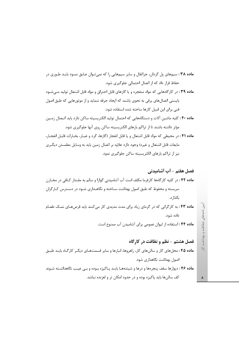ماده ۳۸ : سیمهای پل گردان، جراثقال و سایر سیمهایی را که نمیتوان عـایق نمـود بایـد طـوری در حفاظ قرار داد که از اتصال احتمالی جلوگیری شود.

ماده ۳۹ : در کارگاههایی که مواد منفجره و یا گازهای قابل احتراق و مواد قابل اشتعال تولید می شود بایستی اتصالهای برقی به نحوی باشند که ایجاد جرقه ننماید و از موتورهایی که طبق اصول فنی برای این قبیل کارها ساخته شده استفاده شود.

ماده ۴۰ : كليه ماشين آلات و دستگاههايي كه احتمال توليد الكتريسيته ساكن دارد بايد اتـصال زمـين مؤثر داشته باشند تا از تراکم بارهای الکتریسیته ساکن روی آنها جلوگیری شود.

ماده ۴۱ : در محیطی که مواد قابل اشتعال و یا قابل انفجار (گازها، گرد و غبـار، بخـارات قابـل انفجـار، مایعات قابل اشتعال و غیره) وجود دارد علاوه بر اتصال زمین باید به وسایل مطمـئن دیگـری نیز از تراکم بارهای الکتریسیته ساکن جلوگیری نمود.

اصول بهداشت نگاهداری شود. **ماده ۴۶**: دیوارها سقف پنجرهها و درها و شیشههـا بایـد پـاکیزه بـوده و بـی عیـب نگاهداشـته شـوند

کف سالنها باید پاکیزه بوده و در حدود امکان تر و لغزنده نباشد.

یین نامههای حفاظت و پهداشت کار

 $\pmb{\lambda}$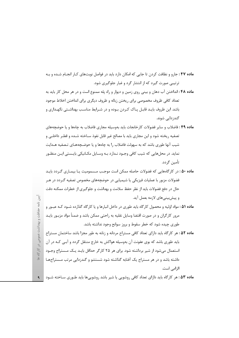**ماده ۴۷**: جارو و نظافت کردن تا جایی که امکان دارد باید در فواصل نوبتهای کـار انجـام شـده و بـه ترتيبي صورت گيرد كه از انتشار گرد و غبار جلوگيري شود.

- ماده ۴۸: انداختن آب دهان و بینی روی زمین و دیوار و راه پله ممنوع است و در هر محل کار باید به تعداد كافي ظروف مخصوصي براي ريختن زباله و ظروف ديگري براي انداختن اخلاط موجود باشد. این ظروف بایـد قابـل پـاک کـردن بـوده و در شـرایط مناسـب بهداشـتی نگهـداری و گندزدایی شوند.
- م**اده ۴۹** : فاضلاب و سایر فضولات کا<sub>ر</sub>خانجات باید بهوسیله مجاری فاضلاب به چاهها و یا حوضچههای تصفيه ريخته شود و اين مجاري بايد با مصالح غير قابل نفوذ ســاخته شــده و قطـر داخلــي و شیب آنها طوری باشد که به سهولت فاضلاب را به چاهها و یا حوضـچههـای تـصفیه هـدایت نماید. در محلهایی که شیب کافی وجـود نـدارد بـه وسـایل مکـانیکی بایـستی ایـن منظـور تأمين گردد.
- **ماده ۵۰ :** در کارگاههایی که فضولات حاصله ممکن است موجب مـسمومیت یـا بیمـاری گـردد بایـد فضولات مزبور با عملیات فیزیکی یا شیمیایی در حوضچههای مخصوص تصفیه گـردد در هـر حال در دفع فضولات باید از نظر حفظ سلامت و بهداشت و جلوگیری از خطرات ممکنه دقت و پیش بینے های لازمه بعمل آید.
- ماده ۵۱ : مواد اولیه و محصول کارگاه باید طوری در داخل انبارها و یا کارگاه گذارده شـود کـه عبـور و مرور کارگران و در صورت اقتضا وسایل نقلیه به راحتی ممکن باشد و ضمنأ مواد مزبـور بایـد طوری چیده شود که خطر سقوط و بروز سوانح وجود نداشته باشد.
- ماده ۵۲ : هر کارگاه باید دارای تعداد کافی مستراح مردانه و زنانه به طور مجزا باشد ساختمان مستراح باید طوری باشد که بوی عفونت آن بهوسیله هواکش به خارج منتقل گردد و آبـی کـه در آن استعمال می شود از شیر برداشته شود. برای هر ۲۵ کارگر حداقل بایـد یـک مـستراح وجـود داشته باشد و در هر مستراح یک آفتابه گذاشته شود شستشو و گندزدایی مرتب مستراحها الزامى است.

٩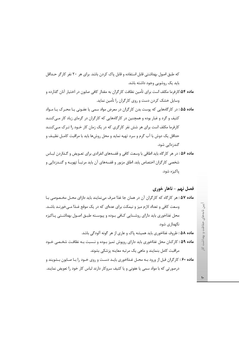که طبق اصول بهداشتی قابل استفاده و قابل پاک کردن باشد. برای هر ۲۰ نفر کارگر حـداقل باید یک روشویی وجود داشته باشد. **ماده ۵۴:**کارفرما مکلف است برای تأمین نظافت کارگران به مقدار کافی صابون در اختیار آنان گذارده و وسایل خشک کردن دست و روی کارگران را تأمین نماید. ماده ۵۵ : در کارگاههایی که پوست بدن کارگران در معرض مواد سمی یا عفـونی یـا محـرک یـا مـواد کثیف و گرد و غبار بوده و همچنین در کارگاههایی که کارگران در گرمای زیاد کار مے کننـد کارفرما مکلف است برای هر شش نفر کارگری که در یک زمان کار خــود را تــرک مــی کننــد حداقل یک دوش با آب گرم و سرد تهیه نماید و محل روش۵ما باید با مراقبت کامـل نظیـف و

ماده ۵۶ : در هر کارگاه باید اطاقی با وسعت کافی و قفسههای انفرادی برای تعـویض و گـذاردن لبـاس شخصی کارگران اختصاص یابد. اطاق مزبور و قفسههای آن باید مرتبـاً تهویــه و گنــدزدایی و پاکیزه شود.

فصل نهم - ناهار خوري **ماده ۵۷:** هر کارگاه که کارگران آن در همان جا غذا صرف می نمایند باید دارای محـل مخـصوصی بـا وسعت کافی و تعداد لازم میز و نیمکت برای عدهای که در یک موقع غـذا مـی خورنـد باشـد. محل غذاخوری باید دارای روشـنایی کـافی بـوده و پیوسـته طبـق اصـول بهداشـتی پـاکیزه نگهداری شود.

ماده ۵۸ : ظروف غذاخوري بايد هميشه ياک و عاري از هر گونه آلودگي باشد.

گندزدایی شود.

ماده ۵۹: کارکنان محل غذاخوری باید دارای روپوش تمیز بوده و نـسبت بـه نظافـت شخـصی خـود مراقبت کامل بنمایند و ماهی یک مرتبه معاینه پزشکی بشوند.

ماده ۶۰: کارگران قبل از ورود بـه محـل غـذاخوری بایـد دسـت و روی خـود را بـا صـابون بـشویند و درصورتی که با مواد سمی یا عفونی و یا کثیف سروکار دارند لباس کار خود را تعویض نمایند.

 $\mathcal{L}$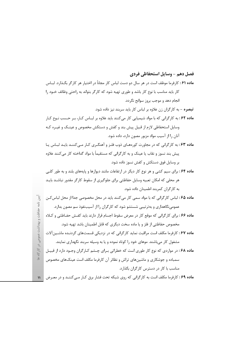فصل دهم - وسايل استحفاظي فردي

**ماده ۶۱**: کارفرما موظف است در هر سال دو دست لباس کار مجاناً در اختیار هر کارگر بگـذارد. لبـاس کار باید مناسب با نوع کار باشد و طوری تهیه شود که کارگر بتواند به راحتی وظائف خــود را انجام دهد و موجب بروز سوانح نگردد. **تبصره** – به کارگران زن علاوه بر لباس کار باید سربند نیز داده شود. ماده ۶۲: به کارگرانی که با مواد شیمیایی کار میکنند باید علاوه بر لبـاس کـار، بـر حـسب نـوع کـار وسایل استحفاظی لازم از قبیل پیش بند و کفش و دستکش مخصوص و عینـک و غیـره کـه آنان ,ا از آسیب مواد مزبور مصون دارد، داده شود. ماده ۶۳: به کارگرانی که در مجاورت کورههای ذوب فلـز و آهنگـری کـار مـی کننـد بایـد لبـاس یـا پیش بند نسوز و نقاب یا عینک و به کارگرانی که مستقیماً با مواد گداخته کار میکنند علاوه بر وسایل فوق دستکش و کفش نسوز داده شود. ماده ۶۴: برای سیم کشی و هر نوع کار دیگر در ارتفاعات مانند دیوارها و پایههای بلند و به طور کلبی هر محلی که امکان تعبیه وسایل حفاظتی برای جلوگیری از سقوط کارگر مقدور نباشـد بایـد به کارگران کمربند اطمینان داده شود. م**اده ۶۵ :** لباس کارگرانی که با مواد سمی کار می کنند باید در محل مخصوصی جدا از محل لباس *ک*ـن عمومی نگاهداری و بهترتیبی شستشو شود که کارگران را از آسیبنفوذ سم مصون بدارد. ماده ۶۶: برای کارگرانی که موقع کار در معرض سقوط اجسام قرار دارند باید کفش حفـاظتی و کـلاه مخصوص حفاظتی از فلز و یا ماده سخت دیگری که قابل اطمینان باشد تهیه شود. م**اده ۶۷**: کارفرما مکلف است مراقبت نماید کارگرانی که در نزدیکی قسمتهای گردنـده ماشـین آلات مشغول کار می باشند. موهای خود را کوتاه نموده و یا به وسیله سربند نگهداری نمایند. ماده ۶۸: در مواردی که نوع کار طوری است که خطراتی بـرای چـشم کـارگران وجـود دارد از قبیـل سمباده و جوشکاری و ماشینهای تراش و نظائر آن کارفرما مکلف است عینکهای مخصوص مناسب با کار در دسترس کارگران بگذارد. ماده ۶۹: کارفرما مکلف است به کارگرانی که روی شبکه تحت فشار برق کـار مـیکننـد و در معـرض | ۱۱

نامه حفاظت و بهداشت عمومی در کارگاه ه

 $\begin{array}{c} \overline{3} \end{array}$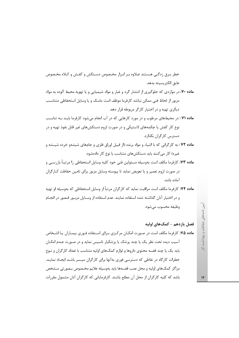خطر بـرق زدگـی هـستند عـلاوه بـر ابـزار مخـصوص دسـتکش و کفـش و کـلاه مخـصوص عايق الكتريسيته بدهد.

- ماده ۷۰: در مواردی که جلوگیری از انتشار گرد و غبار و مواد شیمیایی و یا تهویه محیط آلوده به مواد مزبور از لحاظ فنی ممکن نباشد کارفرما موظف است ماسک و یا وسایل استحفاظی متناسب دیگری تهیه و در اختیار کارگر مربوطه قرار دهد.
- ماده ۷۱ : در محیطهای مرطوب و در مورد کارهایی که در آب انجام میشود کارفرما بایـد بـه تناسـب نوع کار کفش یا چکمههای لاستیکی و در صورت لزوم دستکشهای غیر قابل نفوذ تهیه و در دسترس کارگران بگذارد.
- ماده ۷۲ : به کارگرانی که با اشیاء و مواد برنده (از قبیل اوراق فلزی و جامهای شیشهو خرده شیـشه و غیره) کار می کنند باید دستکشهای متناسب با نوع کار دادهشود.
- **ماده ۷۳:** کارفرما مکلف است بهوسیله مسئولین فنی خود کلیه وسایل استحفاظی را مرتبــاً بازرســی و در صورت لزوم تعمیر و یا تعویض نماید تا پیوسته وسایل مزبور برای تامین حفاظت کـارگران آماده باشد.
- م**اده ۷۴:** کارفرما مکلف است مراقبت نماید که کارگران مرتباً از وسایل استحفاظی که بهوسیله او تهیه و در اختیار آنان گذاشته شده استفاده نمایند. عدم استفاده از وسـایل مزبـور قـصور در انجـام وظيفه محسوب مي شود.

## فصل یازدهم – کمک\های اولیه

م**اده ۰۷۵** کارفرما مکلف است در صـورت امکـان مرکـزی بـرای اسـتفاده فـوری بیمـاران یـا اشـخاص آسیب دیده تحت نظر یک یا چند پزشک یا پزشکیار تاسیس نماید و در صـورت عـدم امکـان باید یک یا چند قفسه محتوی داروها و لوازم کمکهای اولیه متناسب با تعداد کارگران و نـوع خطرات کارگاه در نقاطی که دسترسی فوری بهآنها برای کارگران میسر باشـد ایجـاد نمایـد. مراکز کمکهای اولیه و محل نصب قفسهها باید بهوسیله علایم مخـصوص بـصورتی مـشخص باشد که کلیه کارگران از محل آن مطلع باشند. کارفرمایانی که کارگران آنان مشمول مقررات

 $\mathcal{N}$